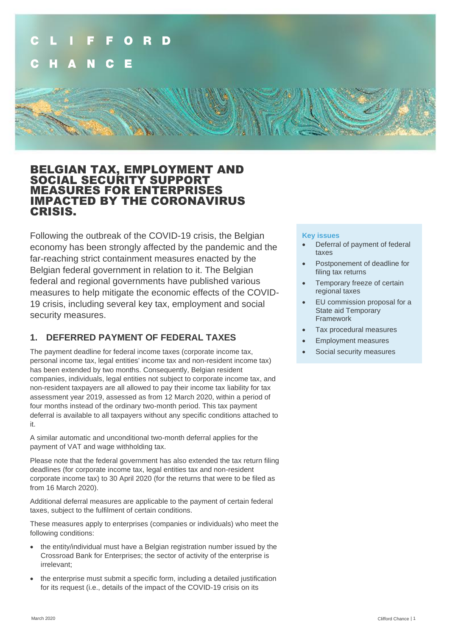

## BELGIAN TAX, EMPLOYMENT AND SOCIAL SECURITY SUPPORT MEASURES FOR ENTERPRISES IMPACTED BY THE CORONAVIRUS CRISIS.

Following the outbreak of the COVID-19 crisis, the Belgian economy has been strongly affected by the pandemic and the far-reaching strict containment measures enacted by the Belgian federal government in relation to it. The Belgian federal and regional governments have published various measures to help mitigate the economic effects of the COVID-19 crisis, including several key tax, employment and social security measures.

## **1. DEFERRED PAYMENT OF FEDERAL TAXES**

The payment deadline for federal income taxes (corporate income tax, personal income tax, legal entities' income tax and non-resident income tax) has been extended by two months. Consequently, Belgian resident companies, individuals, legal entities not subject to corporate income tax, and non-resident taxpayers are all allowed to pay their income tax liability for tax assessment year 2019, assessed as from 12 March 2020, within a period of four months instead of the ordinary two-month period. This tax payment deferral is available to all taxpayers without any specific conditions attached to it.

A similar automatic and unconditional two-month deferral applies for the payment of VAT and wage withholding tax.

Please note that the federal government has also extended the tax return filing deadlines (for corporate income tax, legal entities tax and non-resident corporate income tax) to 30 April 2020 (for the returns that were to be filed as from 16 March 2020).

Additional deferral measures are applicable to the payment of certain federal taxes, subject to the fulfilment of certain conditions.

These measures apply to enterprises (companies or individuals) who meet the following conditions:

- the entity/individual must have a Belgian registration number issued by the Crossroad Bank for Enterprises; the sector of activity of the enterprise is irrelevant;
- the enterprise must submit a specific form, including a detailed justification for its request (i.e., details of the impact of the COVID-19 crisis on its

#### **Key issues**

- Deferral of payment of federal taxes
- Postponement of deadline for filing tax returns
- Temporary freeze of certain regional taxes
- EU commission proposal for a State aid Temporary Framework
- Tax procedural measures
- Employment measures
- Social security measures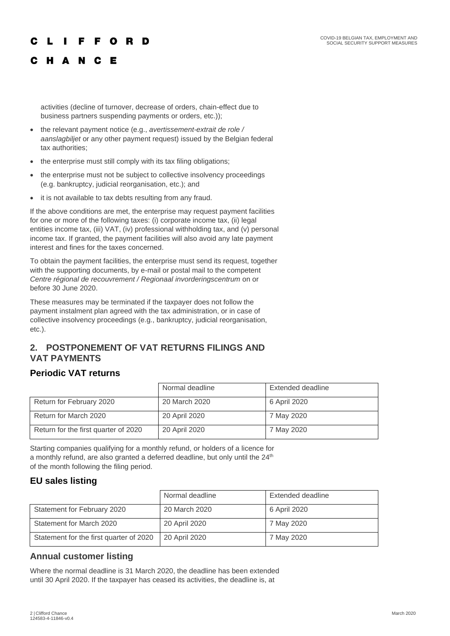#### C **FFORD**  $\mathbf{I}$

## C H A N C E

activities (decline of turnover, decrease of orders, chain-effect due to business partners suspending payments or orders, etc.));

- the relevant payment notice (e.g., *avertissement-extrait de role / aanslagbiljet* or any other payment request) issued by the Belgian federal tax authorities;
- the enterprise must still comply with its tax filing obligations;
- the enterprise must not be subject to collective insolvency proceedings (e.g. bankruptcy, judicial reorganisation, etc.); and
- it is not available to tax debts resulting from any fraud.

If the above conditions are met, the enterprise may request payment facilities for one or more of the following taxes: (i) corporate income tax, (ii) legal entities income tax, (iii) VAT, (iv) professional withholding tax, and (v) personal income tax. If granted, the payment facilities will also avoid any late payment interest and fines for the taxes concerned.

To obtain the payment facilities, the enterprise must send its request, together with the supporting documents, by e-mail or postal mail to the competent *Centre régional de recouvrement / Regionaal invorderingscentrum* on or before 30 June 2020.

These measures may be terminated if the taxpayer does not follow the payment instalment plan agreed with the tax administration, or in case of collective insolvency proceedings (e.g., bankruptcy, judicial reorganisation, etc.).

## **2. POSTPONEMENT OF VAT RETURNS FILINGS AND VAT PAYMENTS**

## **Periodic VAT returns**

|                                      | Normal deadline | Extended deadline |
|--------------------------------------|-----------------|-------------------|
| Return for February 2020             | 20 March 2020   | 6 April 2020      |
| Return for March 2020                | 20 April 2020   | 7 May 2020        |
| Return for the first quarter of 2020 | 20 April 2020   | 7 May 2020        |

Starting companies qualifying for a monthly refund, or holders of a licence for a monthly refund, are also granted a deferred deadline, but only until the  $24<sup>th</sup>$ of the month following the filing period.

## **EU sales listing**

|                                         | Normal deadline | Extended deadline |
|-----------------------------------------|-----------------|-------------------|
| Statement for February 2020             | 20 March 2020   | 6 April 2020      |
| Statement for March 2020                | 20 April 2020   | 7 May 2020        |
| Statement for the first quarter of 2020 | 20 April 2020   | 7 May 2020        |

## **Annual customer listing**

Where the normal deadline is 31 March 2020, the deadline has been extended until 30 April 2020. If the taxpayer has ceased its activities, the deadline is, at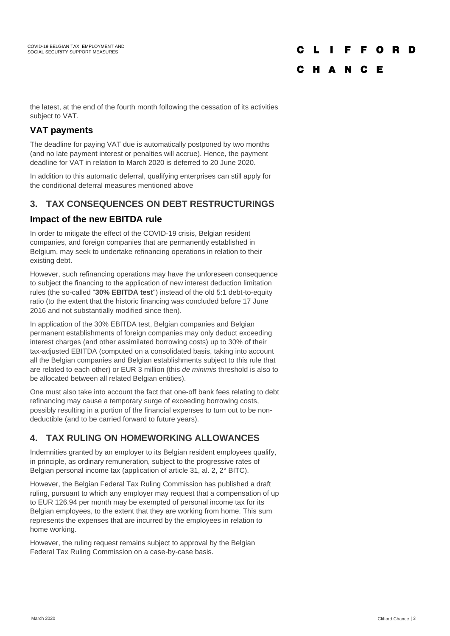# CLIFFORD C H A N C E

the latest, at the end of the fourth month following the cessation of its activities subject to VAT.

## **VAT payments**

The deadline for paying VAT due is automatically postponed by two months (and no late payment interest or penalties will accrue). Hence, the payment deadline for VAT in relation to March 2020 is deferred to 20 June 2020.

In addition to this automatic deferral, qualifying enterprises can still apply for the conditional deferral measures mentioned above

## **3. TAX CONSEQUENCES ON DEBT RESTRUCTURINGS**

## **Impact of the new EBITDA rule**

In order to mitigate the effect of the COVID-19 crisis, Belgian resident companies, and foreign companies that are permanently established in Belgium, may seek to undertake refinancing operations in relation to their existing debt.

However, such refinancing operations may have the unforeseen consequence to subject the financing to the application of new interest deduction limitation rules (the so-called "**30% EBITDA test**") instead of the old 5:1 debt-to-equity ratio (to the extent that the historic financing was concluded before 17 June 2016 and not substantially modified since then).

In application of the 30% EBITDA test, Belgian companies and Belgian permanent establishments of foreign companies may only deduct exceeding interest charges (and other assimilated borrowing costs) up to 30% of their tax-adjusted EBITDA (computed on a consolidated basis, taking into account all the Belgian companies and Belgian establishments subject to this rule that are related to each other) or EUR 3 million (this *de minimis* threshold is also to be allocated between all related Belgian entities).

One must also take into account the fact that one-off bank fees relating to debt refinancing may cause a temporary surge of exceeding borrowing costs, possibly resulting in a portion of the financial expenses to turn out to be nondeductible (and to be carried forward to future years).

## **4. TAX RULING ON HOMEWORKING ALLOWANCES**

Indemnities granted by an employer to its Belgian resident employees qualify, in principle, as ordinary remuneration, subject to the progressive rates of Belgian personal income tax (application of article 31, al. 2, 2° BITC).

However, the Belgian Federal Tax Ruling Commission has published a draft ruling, pursuant to which any employer may request that a compensation of up to EUR 126.94 per month may be exempted of personal income tax for its Belgian employees, to the extent that they are working from home. This sum represents the expenses that are incurred by the employees in relation to home working.

However, the ruling request remains subject to approval by the Belgian Federal Tax Ruling Commission on a case-by-case basis.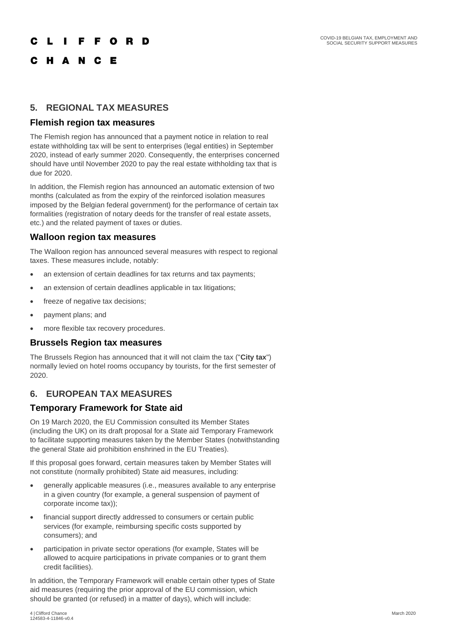#### **IFFORD**  $\mathbf{L}$

## C H A N C E

#### **5. REGIONAL TAX MEASURES**

#### **Flemish region tax measures**

The Flemish region has announced that a payment notice in relation to real estate withholding tax will be sent to enterprises (legal entities) in September 2020, instead of early summer 2020. Consequently, the enterprises concerned should have until November 2020 to pay the real estate withholding tax that is due for 2020.

In addition, the Flemish region has announced an automatic extension of two months (calculated as from the expiry of the reinforced isolation measures imposed by the Belgian federal government) for the performance of certain tax formalities (registration of notary deeds for the transfer of real estate assets, etc.) and the related payment of taxes or duties.

#### **Walloon region tax measures**

The Walloon region has announced several measures with respect to regional taxes. These measures include, notably:

- an extension of certain deadlines for tax returns and tax payments;
- an extension of certain deadlines applicable in tax litigations;
- freeze of negative tax decisions;
- payment plans; and
- more flexible tax recovery procedures.

#### **Brussels Region tax measures**

The Brussels Region has announced that it will not claim the tax ("**City tax**") normally levied on hotel rooms occupancy by tourists, for the first semester of 2020.

## **6. EUROPEAN TAX MEASURES**

## **Temporary Framework for State aid**

On 19 March 2020, the EU Commission consulted its Member States (including the UK) on its draft proposal for a State aid Temporary Framework to facilitate supporting measures taken by the Member States (notwithstanding the general State aid prohibition enshrined in the EU Treaties).

If this proposal goes forward, certain measures taken by Member States will not constitute (normally prohibited) State aid measures, including:

- generally applicable measures (i.e., measures available to any enterprise in a given country (for example, a general suspension of payment of corporate income tax));
- financial support directly addressed to consumers or certain public services (for example, reimbursing specific costs supported by consumers); and
- participation in private sector operations (for example, States will be allowed to acquire participations in private companies or to grant them credit facilities).

In addition, the Temporary Framework will enable certain other types of State aid measures (requiring the prior approval of the EU commission, which should be granted (or refused) in a matter of days), which will include: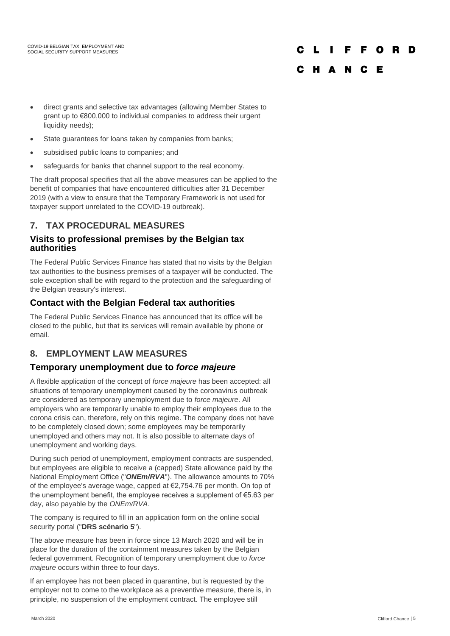#### **FFORD**  $\mathbf{I}$

### C H A N C E

- direct grants and selective tax advantages (allowing Member States to grant up to €800,000 to individual companies to address their urgent liquidity needs);
- State guarantees for loans taken by companies from banks:
- subsidised public loans to companies; and
- safeguards for banks that channel support to the real economy.

The draft proposal specifies that all the above measures can be applied to the benefit of companies that have encountered difficulties after 31 December 2019 (with a view to ensure that the Temporary Framework is not used for taxpayer support unrelated to the COVID-19 outbreak).

## **7. TAX PROCEDURAL MEASURES**

#### **Visits to professional premises by the Belgian tax authorities**

The Federal Public Services Finance has stated that no visits by the Belgian tax authorities to the business premises of a taxpayer will be conducted. The sole exception shall be with regard to the protection and the safeguarding of the Belgian treasury's interest.

## **Contact with the Belgian Federal tax authorities**

The Federal Public Services Finance has announced that its office will be closed to the public, but that its services will remain available by phone or email.

## **8. EMPLOYMENT LAW MEASURES**

#### **Temporary unemployment due to** *force majeure*

A flexible application of the concept of *force majeure* has been accepted: all situations of temporary unemployment caused by the coronavirus outbreak are considered as temporary unemployment due to *force majeure*. All employers who are temporarily unable to employ their employees due to the corona crisis can, therefore, rely on this regime. The company does not have to be completely closed down; some employees may be temporarily unemployed and others may not. It is also possible to alternate days of unemployment and working days.

During such period of unemployment, employment contracts are suspended, but employees are eligible to receive a (capped) State allowance paid by the National Employment Office ("*ONEm/RVA*"). The allowance amounts to 70% of the employee's average wage, capped at €2,754.76 per month. On top of the unemployment benefit, the employee receives a supplement of €5.63 per day, also payable by the *ONEm/RVA*.

The company is required to fill in an application form on the online social security portal ("**DRS scénario 5**").

The above measure has been in force since 13 March 2020 and will be in place for the duration of the containment measures taken by the Belgian federal government. Recognition of temporary unemployment due to *force majeure* occurs within three to four days.

If an employee has not been placed in quarantine, but is requested by the employer not to come to the workplace as a preventive measure, there is, in principle, no suspension of the employment contract. The employee still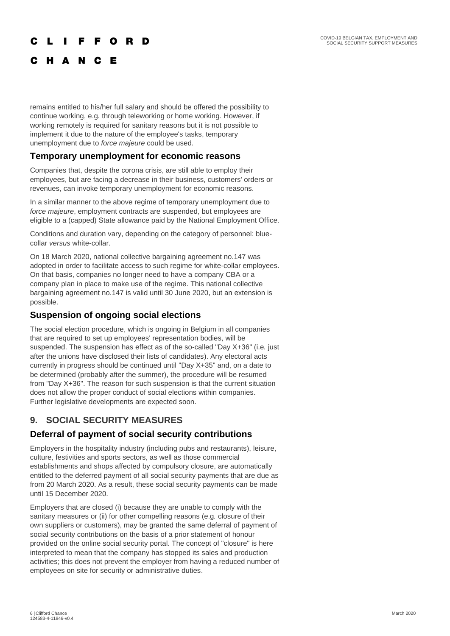#### **FFORD**  $\mathbf{L}$  $\mathbf{L}$

## C H A N C E

remains entitled to his/her full salary and should be offered the possibility to continue working, e.g*.* through teleworking or home working. However, if working remotely is required for sanitary reasons but it is not possible to implement it due to the nature of the employee's tasks, temporary unemployment due to *force majeure* could be used.

#### **Temporary unemployment for economic reasons**

Companies that, despite the corona crisis, are still able to employ their employees, but are facing a decrease in their business, customers' orders or revenues, can invoke temporary unemployment for economic reasons.

In a similar manner to the above regime of temporary unemployment due to *force majeure*, employment contracts are suspended, but employees are eligible to a (capped) State allowance paid by the National Employment Office.

Conditions and duration vary, depending on the category of personnel: bluecollar *versus* white-collar.

On 18 March 2020, national collective bargaining agreement no.147 was adopted in order to facilitate access to such regime for white-collar employees. On that basis, companies no longer need to have a company CBA or a company plan in place to make use of the regime. This national collective bargaining agreement no.147 is valid until 30 June 2020, but an extension is possible.

#### **Suspension of ongoing social elections**

The social election procedure, which is ongoing in Belgium in all companies that are required to set up employees' representation bodies, will be suspended. The suspension has effect as of the so-called "Day X+36" (i.e*.* just after the unions have disclosed their lists of candidates). Any electoral acts currently in progress should be continued until "Day X+35" and, on a date to be determined (probably after the summer), the procedure will be resumed from "Day X+36". The reason for such suspension is that the current situation does not allow the proper conduct of social elections within companies. Further legislative developments are expected soon.

## **9. SOCIAL SECURITY MEASURES**

## **Deferral of payment of social security contributions**

Employers in the hospitality industry (including pubs and restaurants), leisure, culture, festivities and sports sectors, as well as those commercial establishments and shops affected by compulsory closure, are automatically entitled to the deferred payment of all social security payments that are due as from 20 March 2020. As a result, these social security payments can be made until 15 December 2020.

Employers that are closed (i) because they are unable to comply with the sanitary measures or (ii) for other compelling reasons (e.g*.* closure of their own suppliers or customers), may be granted the same deferral of payment of social security contributions on the basis of a prior statement of honour provided on the online social security portal. The concept of "closure" is here interpreted to mean that the company has stopped its sales and production activities; this does not prevent the employer from having a reduced number of employees on site for security or administrative duties.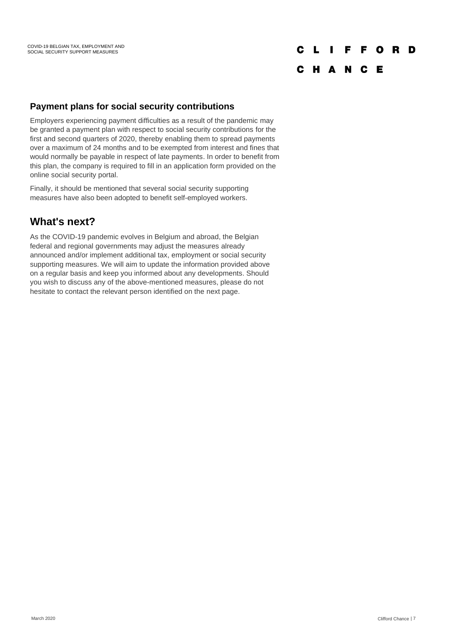#### $CL$   $I$ **FFORD**

## C H A N C E

#### **Payment plans for social security contributions**

Employers experiencing payment difficulties as a result of the pandemic may be granted a payment plan with respect to social security contributions for the first and second quarters of 2020, thereby enabling them to spread payments over a maximum of 24 months and to be exempted from interest and fines that would normally be payable in respect of late payments. In order to benefit from this plan, the company is required to fill in an application form provided on the online social security portal.

Finally, it should be mentioned that several social security supporting measures have also been adopted to benefit self-employed workers.

# **What's next?**

As the COVID-19 pandemic evolves in Belgium and abroad, the Belgian federal and regional governments may adjust the measures already announced and/or implement additional tax, employment or social security supporting measures. We will aim to update the information provided above on a regular basis and keep you informed about any developments. Should you wish to discuss any of the above-mentioned measures, please do not hesitate to contact the relevant person identified on the next page.